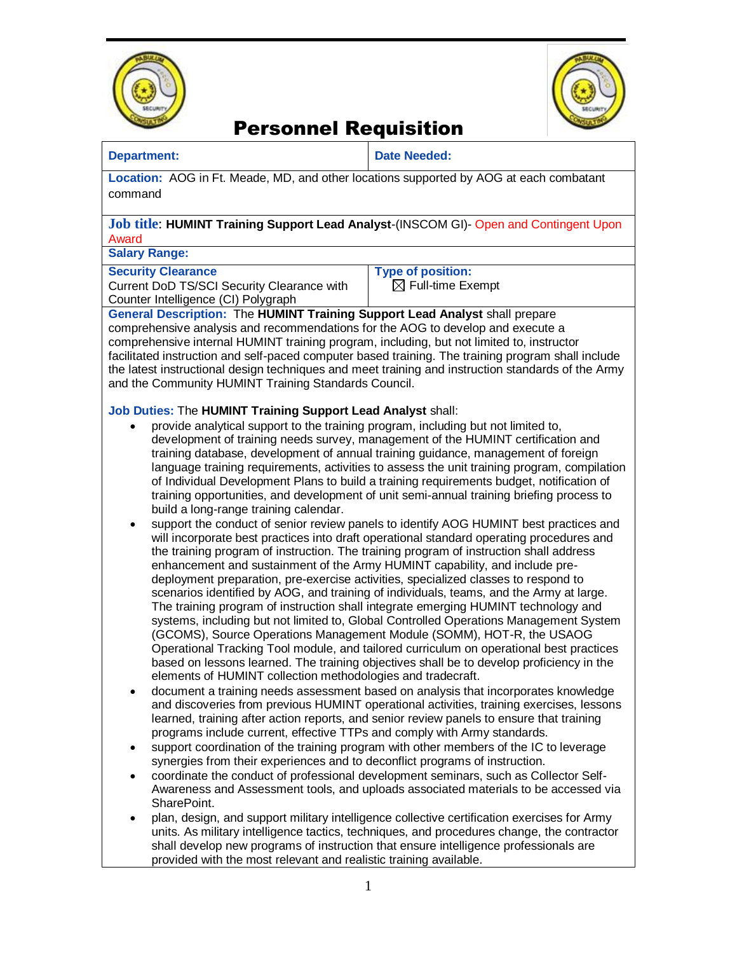



## Personnel Requisition

## **Department: Date Needed:**

**Location:** AOG in Ft. Meade, MD, and other locations supported by AOG at each combatant command

## **Job title**: **HUMINT Training Support Lead Analyst**-(INSCOM GI)- Open and Contingent Upon Award

**Salary Range:** 

#### **Security Clearance**

Current DoD TS/SCI Security Clearance with Counter Intelligence (CI) Polygraph

**Type of position:**   $\boxtimes$  Full-time Exempt

**General Description:** The **HUMINT Training Support Lead Analyst** shall prepare

comprehensive analysis and recommendations for the AOG to develop and execute a comprehensive internal HUMINT training program, including, but not limited to, instructor facilitated instruction and self-paced computer based training. The training program shall include the latest instructional design techniques and meet training and instruction standards of the Army and the Community HUMINT Training Standards Council.

## **Job Duties:** The **HUMINT Training Support Lead Analyst** shall:

- provide analytical support to the training program, including but not limited to, development of training needs survey, management of the HUMINT certification and training database, development of annual training guidance, management of foreign language training requirements, activities to assess the unit training program, compilation of Individual Development Plans to build a training requirements budget, notification of training opportunities, and development of unit semi-annual training briefing process to build a long-range training calendar.
- support the conduct of senior review panels to identify AOG HUMINT best practices and will incorporate best practices into draft operational standard operating procedures and the training program of instruction. The training program of instruction shall address enhancement and sustainment of the Army HUMINT capability, and include predeployment preparation, pre-exercise activities, specialized classes to respond to scenarios identified by AOG, and training of individuals, teams, and the Army at large. The training program of instruction shall integrate emerging HUMINT technology and systems, including but not limited to, Global Controlled Operations Management System (GCOMS), Source Operations Management Module (SOMM), HOT-R, the USAOG Operational Tracking Tool module, and tailored curriculum on operational best practices based on lessons learned. The training objectives shall be to develop proficiency in the elements of HUMINT collection methodologies and tradecraft.
- document a training needs assessment based on analysis that incorporates knowledge and discoveries from previous HUMINT operational activities, training exercises, lessons learned, training after action reports, and senior review panels to ensure that training programs include current, effective TTPs and comply with Army standards.
- support coordination of the training program with other members of the IC to leverage synergies from their experiences and to deconflict programs of instruction.
- coordinate the conduct of professional development seminars, such as Collector Self-Awareness and Assessment tools, and uploads associated materials to be accessed via SharePoint.
- plan, design, and support military intelligence collective certification exercises for Army units. As military intelligence tactics, techniques, and procedures change, the contractor shall develop new programs of instruction that ensure intelligence professionals are provided with the most relevant and realistic training available.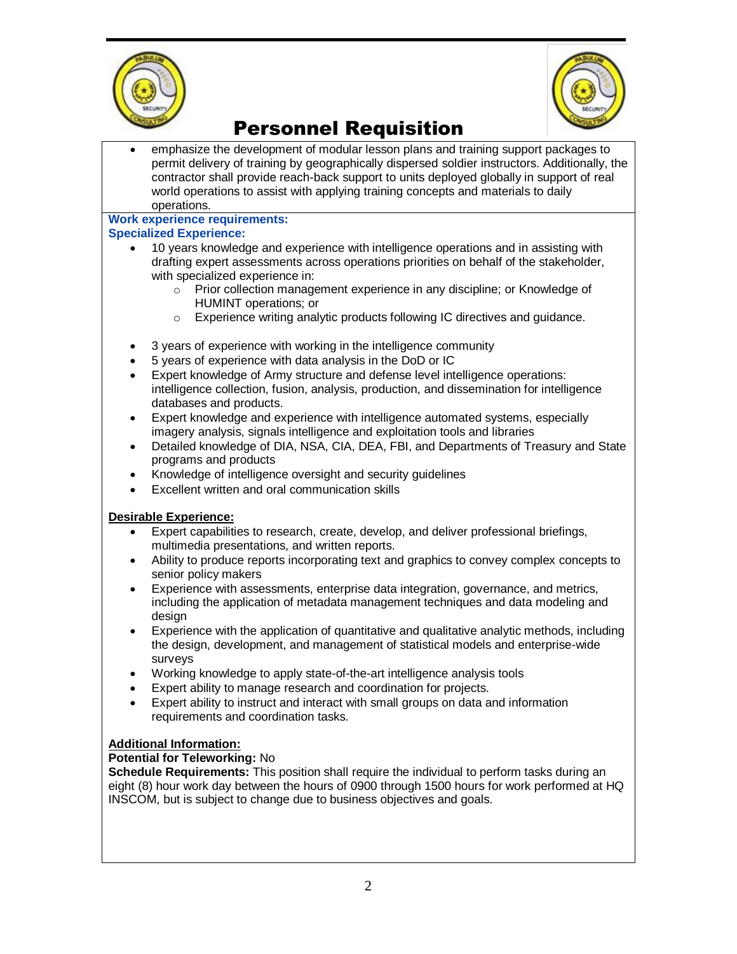



# Personnel Requisition

 emphasize the development of modular lesson plans and training support packages to permit delivery of training by geographically dispersed soldier instructors. Additionally, the contractor shall provide reach-back support to units deployed globally in support of real world operations to assist with applying training concepts and materials to daily operations.

## **Work experience requirements:**

## **Specialized Experience:**

- 10 years knowledge and experience with intelligence operations and in assisting with drafting expert assessments across operations priorities on behalf of the stakeholder, with specialized experience in:
	- o Prior collection management experience in any discipline; or Knowledge of HUMINT operations; or
	- o Experience writing analytic products following IC directives and guidance.
- 3 years of experience with working in the intelligence community
- 5 years of experience with data analysis in the DoD or IC
- Expert knowledge of Army structure and defense level intelligence operations: intelligence collection, fusion, analysis, production, and dissemination for intelligence databases and products.
- Expert knowledge and experience with intelligence automated systems, especially imagery analysis, signals intelligence and exploitation tools and libraries
- Detailed knowledge of DIA, NSA, CIA, DEA, FBI, and Departments of Treasury and State programs and products
- Knowledge of intelligence oversight and security guidelines
- Excellent written and oral communication skills

## **Desirable Experience:**

- Expert capabilities to research, create, develop, and deliver professional briefings, multimedia presentations, and written reports.
- Ability to produce reports incorporating text and graphics to convey complex concepts to senior policy makers
- Experience with assessments, enterprise data integration, governance, and metrics, including the application of metadata management techniques and data modeling and design
- Experience with the application of quantitative and qualitative analytic methods, including the design, development, and management of statistical models and enterprise-wide surveys
- Working knowledge to apply state-of-the-art intelligence analysis tools
- Expert ability to manage research and coordination for projects.
- Expert ability to instruct and interact with small groups on data and information requirements and coordination tasks.

## **Additional Information:**

## **Potential for Teleworking:** No

**Schedule Requirements:** This position shall require the individual to perform tasks during an eight (8) hour work day between the hours of 0900 through 1500 hours for work performed at HQ INSCOM, but is subject to change due to business objectives and goals.